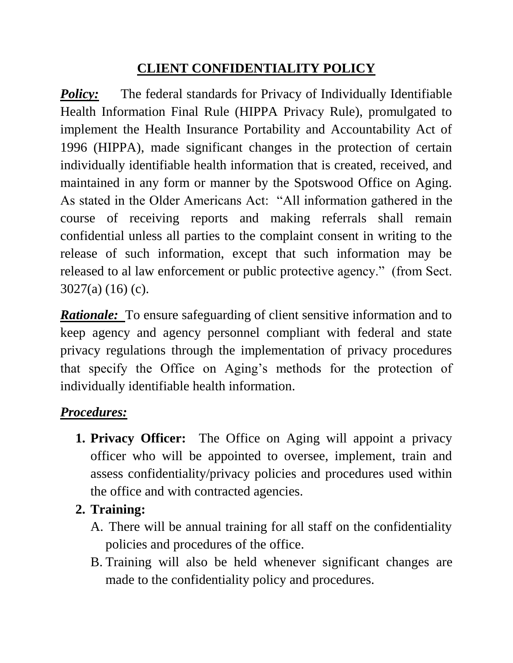## **CLIENT CONFIDENTIALITY POLICY**

*Policy:* The federal standards for Privacy of Individually Identifiable Health Information Final Rule (HIPPA Privacy Rule), promulgated to implement the Health Insurance Portability and Accountability Act of 1996 (HIPPA), made significant changes in the protection of certain individually identifiable health information that is created, received, and maintained in any form or manner by the Spotswood Office on Aging. As stated in the Older Americans Act: "All information gathered in the course of receiving reports and making referrals shall remain confidential unless all parties to the complaint consent in writing to the release of such information, except that such information may be released to al law enforcement or public protective agency." (from Sect. 3027(a) (16) (c).

*Rationale:* To ensure safeguarding of client sensitive information and to keep agency and agency personnel compliant with federal and state privacy regulations through the implementation of privacy procedures that specify the Office on Aging's methods for the protection of individually identifiable health information.

# *Procedures:*

- **1. Privacy Officer:** The Office on Aging will appoint a privacy officer who will be appointed to oversee, implement, train and assess confidentiality/privacy policies and procedures used within the office and with contracted agencies.
- **2. Training:**
	- A. There will be annual training for all staff on the confidentiality policies and procedures of the office.
	- B. Training will also be held whenever significant changes are made to the confidentiality policy and procedures.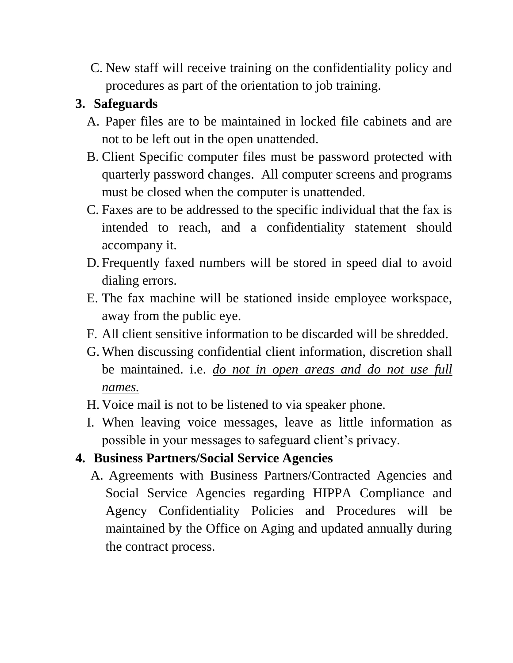C. New staff will receive training on the confidentiality policy and procedures as part of the orientation to job training.

# **3. Safeguards**

- A. Paper files are to be maintained in locked file cabinets and are not to be left out in the open unattended.
- B. Client Specific computer files must be password protected with quarterly password changes. All computer screens and programs must be closed when the computer is unattended.
- C. Faxes are to be addressed to the specific individual that the fax is intended to reach, and a confidentiality statement should accompany it.
- D. Frequently faxed numbers will be stored in speed dial to avoid dialing errors.
- E. The fax machine will be stationed inside employee workspace, away from the public eye.
- F. All client sensitive information to be discarded will be shredded.
- G.When discussing confidential client information, discretion shall be maintained. i.e. *do not in open areas and do not use full names.*
- H. Voice mail is not to be listened to via speaker phone.
- I. When leaving voice messages, leave as little information as possible in your messages to safeguard client's privacy.

## **4. Business Partners/Social Service Agencies**

A. Agreements with Business Partners/Contracted Agencies and Social Service Agencies regarding HIPPA Compliance and Agency Confidentiality Policies and Procedures will be maintained by the Office on Aging and updated annually during the contract process.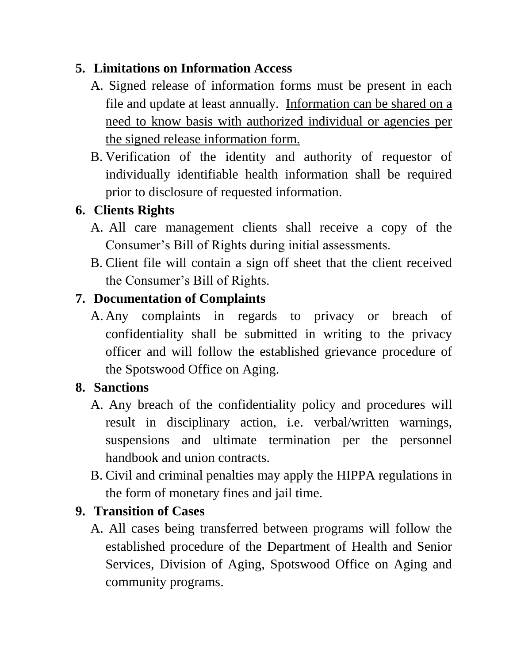## **5. Limitations on Information Access**

- A. Signed release of information forms must be present in each file and update at least annually. Information can be shared on a need to know basis with authorized individual or agencies per the signed release information form.
- B. Verification of the identity and authority of requestor of individually identifiable health information shall be required prior to disclosure of requested information.

# **6. Clients Rights**

- A. All care management clients shall receive a copy of the Consumer's Bill of Rights during initial assessments.
- B. Client file will contain a sign off sheet that the client received the Consumer's Bill of Rights.

# **7. Documentation of Complaints**

A. Any complaints in regards to privacy or breach of confidentiality shall be submitted in writing to the privacy officer and will follow the established grievance procedure of the Spotswood Office on Aging.

## **8. Sanctions**

- A. Any breach of the confidentiality policy and procedures will result in disciplinary action, i.e. verbal/written warnings, suspensions and ultimate termination per the personnel handbook and union contracts.
- B. Civil and criminal penalties may apply the HIPPA regulations in the form of monetary fines and jail time.

# **9. Transition of Cases**

A. All cases being transferred between programs will follow the established procedure of the Department of Health and Senior Services, Division of Aging, Spotswood Office on Aging and community programs.